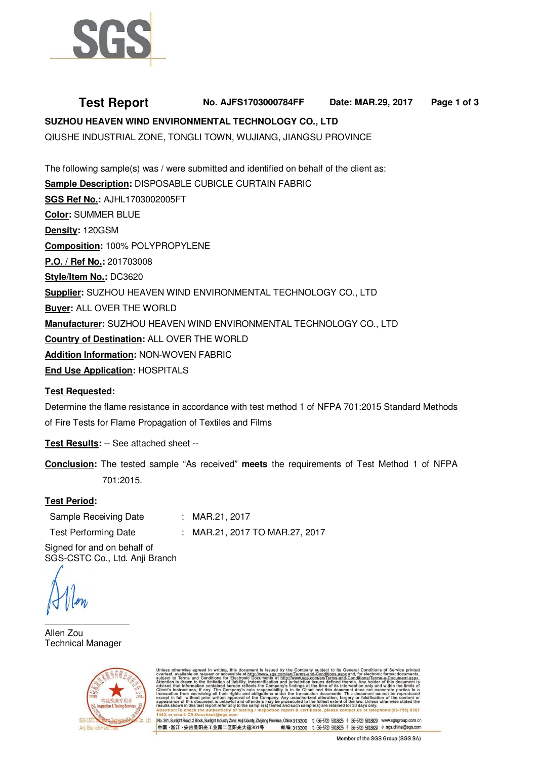

# **Test Report No. AJFS1703000784FF Date: MAR.29, 2017 Page 1 of 3 SUZHOU HEAVEN WIND ENVIRONMENTAL TECHNOLOGY CO., LTD**

QIUSHE INDUSTRIAL ZONE, TONGLI TOWN, WUJIANG, JIANGSU PROVINCE

The following sample(s) was / were submitted and identified on behalf of the client as: **Sample Description:** DISPOSABLE CUBICLE CURTAIN FABRIC **SGS Ref No.:** AJHL1703002005FT **Color:** SUMMER BLUE **Density:** 120GSM **Composition:** 100% POLYPROPYLENE **P.O. / Ref No.:** 201703008 **Style/Item No.:** DC3620 **Supplier:** SUZHOU HEAVEN WIND ENVIRONMENTAL TECHNOLOGY CO., LTD **Buyer:** ALL OVER THE WORLD **Manufacturer:** SUZHOU HEAVEN WIND ENVIRONMENTAL TECHNOLOGY CO., LTD **Country of Destination:** ALL OVER THE WORLD **Addition Information:** NON-WOVEN FABRIC **End Use Application:** HOSPITALS

# **Test Requested:**

Determine the flame resistance in accordance with test method 1 of NFPA 701:2015 Standard Methods of Fire Tests for Flame Propagation of Textiles and Films

**Test Results:** -- See attached sheet --

**Conclusion:** The tested sample "As received" **meets** the requirements of Test Method 1 of NFPA 701:2015.

# **Test Period:**

| Sample Receiving Date       | : MAR.21, 2017                 |
|-----------------------------|--------------------------------|
| <b>Test Performing Date</b> | : MAR.21, 2017 TO MAR.27, 2017 |

Signed for and on behalf of SGS-CSTC Co., Ltd. Anji Branch

Allen Zou Technical Manager



ubject to its General Conditions<br>Conditions.aspx and, for electronia<br>Men/Terms-and-Conditions/Term<br>ues defined therein. Any holder ng, this document is issued by<br>ccessible at <u>http://www.sgs.com</u><br>for Electronic Documents at <u>htt</u>j

No. 301, Sunlight Road, 2 Block, Sunlight Industry Zone, Anji County, Zhejiang Province, China 313300 t (86-572) 5018825 f (86-572) 5018829 www.sgsgroup.com.cn 中国·浙江·安吉县阳光工业园二区阳光大道301号 邮编:313300 t (86-572) 5018825 f (86-572) 5018829 e sgs.china@sgs.com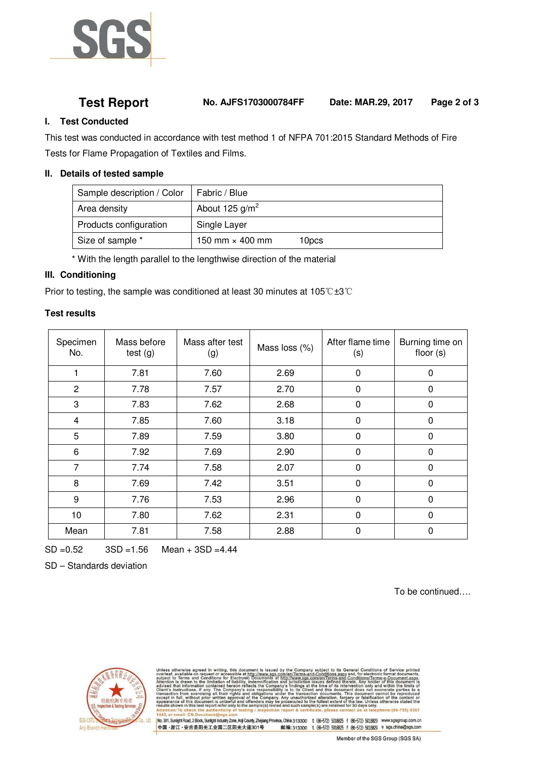

**Test Report No. AJFS1703000784FF Date: MAR.29, 2017 Page 2 of 3**

### **I. Test Conducted**

This test was conducted in accordance with test method 1 of NFPA 701:2015 Standard Methods of Fire Tests for Flame Propagation of Textiles and Films.

#### **II. Details of tested sample**

| Sample description / Color | Fabric / Blue          |       |
|----------------------------|------------------------|-------|
| Area density               | About 125 $g/m^2$      |       |
| Products configuration     | Single Layer           |       |
| Size of sample *           | 150 mm $\times$ 400 mm | 10pcs |

\* With the length parallel to the lengthwise direction of the material

### **III. Conditioning**

Prior to testing, the sample was conditioned at least 30 minutes at 105℃±3℃

### **Test results**

| Specimen<br>No. | Mass before<br>test $(g)$ | Mass after test<br>(g) | Mass loss (%) | After flame time<br>(s) | Burning time on<br>floor $(s)$ |
|-----------------|---------------------------|------------------------|---------------|-------------------------|--------------------------------|
|                 | 7.81                      | 7.60                   | 2.69          | $\mathbf 0$             | 0                              |
| $\overline{2}$  | 7.78                      | 7.57                   | 2.70          | $\mathbf 0$             | 0                              |
| 3               | 7.83                      | 7.62                   | 2.68          | $\mathbf 0$             | 0                              |
| 4               | 7.85                      | 7.60                   | 3.18          | 0                       | 0                              |
| 5               | 7.89                      | 7.59                   | 3.80          | 0                       | 0                              |
| 6               | 7.92                      | 7.69                   | 2.90          | $\mathbf 0$             | 0                              |
| 7               | 7.74                      | 7.58                   | 2.07          | 0                       | 0                              |
| 8               | 7.69                      | 7.42                   | 3.51          | $\overline{0}$          | 0                              |
| 9               | 7.76                      | 7.53                   | 2.96          | $\mathbf 0$             | 0                              |
| 10              | 7.80                      | 7.62                   | 2.31          | 0                       | 0                              |
| Mean            | 7.81                      | 7.58                   | 2.88          | 0                       | 0                              |

SD =0.52 3SD =1.56 Mean + 3SD =4.44

SD – Standards deviation

To be continued….



subject to its General Conditions of School<br>-Conditions.aspx and, for electronic form<br>m/en/Terms-and-Conditions/Terms-e-D<br>sues defined therein, Any holder of thi ng, this document is issued by the<br>accessible at http://www.sgs.com/<br>for Electronic Documents at http ne of it:<br>thin di authorized alteration, forgery or falsi<br>ited to the fullest extent of the law. Ur<br>ch sample(s) are retained for 30 days o DA 106 7551 0207

|No.301;SunlightRoad,2Block,SunlightIndushyZone,AnjiCounty,Zhejiang Province,China 313300 t (86-572) 5018825 f (86-572) 5018829 www.sgsgroup.com.cn<br>|中国 -浙江 - 安吉县阳光工业园二区阳光大道301号 邮编:313300 t (86-572) 5018825 邮编:313300 t (86-572) 5018825 f (86-572) 5018829 e sgs.china@sgs.com